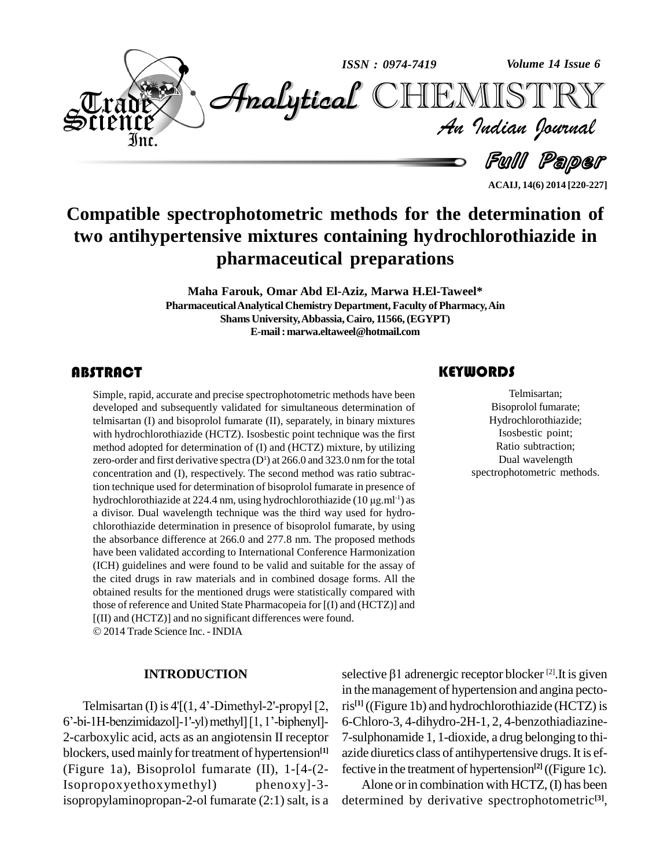

**ACAIJ, 14(6) 2014 [220-227]**

# **Compatible spectrophotometric methods for the determination of two antihypertensive mixtures containing hydrochlorothiazide in pharmaceutical preparations**

**Maha Farouk, Omar Abd El-Aziz, Marwa H.El-Taweel\* PharmaceuticalAnalyticalChemistry Department, Faculty ofPharmacy,Ain Shams University,Abbassia,Cairo, 11566,(EGYPT) E-mail:[marwa.eltaweel@hotmail.com](mailto:marwa.eltaweel@hotmail.com)**

# **ABSTRACT**

Simple, rapid, accurate a<br>developed and subseque<br>telmisartan (I) and bisop Simple, rapid, accurate and precise spectrophotometric methods have been developed and subsequently validated for simultaneous determination of telmisartan (I) and bisoprolol fumarate (II), separately, in binary mixtures with hydrochlorothiazide (HCTZ). Isosbestic point technique was the first method adopted for determination of (I) and (HCTZ) mixture, by utilizing zero-order and first derivative spectra  $(D<sup>1</sup>)$  at 266.0 and 323.0 nm for the total concentration and (I), respectively. The second method was ratio subtraction technique used for determination of bisoprolol fumarate in presence of concentration and (I), respectively. The second method was ratio subtraction technique used for determination of bisoprolol fumarate in presence of hydrochlorothiazide at 224.4 nm, using hydrochlorothiazide (10 µg.ml<sup>-1</sup>) a divisor. Dual wavelength technique was the third way used for hydro chlorothiazide determination in presence of bisoprolol fumarate, by using the absorbance difference at 266.0 and 277.8 nm. The proposed methods have been validated according to International Conference Harmonization (ICH) guidelines and were found to be valid and suitable for the assay of the cited drugs in raw materials and in combined dosage forms. All the obtained results for the mentioned drugs were statistically compared with those of reference and United State Pharmacopeia for [(I) and (HCTZ)] and [(II) and (HCTZ)] and no significant differences were found. 2014 Trade Science Inc. -INDIA

#### **INTRODUCTION**

Telmisartan (I) is  $4'(1, 4'-Dimethyl-2'-propyl[2,$ 6'-bi-1H-benzimidazol]-1'-yl) methyl][1, 1'-biphenyl]-2-carboxylic acid, acts as an angiotensin II receptor blockers, used mainly for treatment of hypertension<sup>[1]</sup> azide (Figure 1a), Bisoprolol fumarate (II), 1-[4-(2- Isopropoxyethoxymethyl) phenoxy]-3 isopropylaminopropan-2-ol fumarate (2:1) salt, is a

Telmisartan;<br>Bisoprolol fumarate;<br>Hydrochlorothiazide; Telmisartan; Bisoprolol fumarate; Isosbestic point; Ratio subtraction; Dual wavelength spectrophotometric methods.

selective  $\beta$ 1 adrenergic receptor blocker  $^{[2]}$ .It is given in the management of hypertension and angina pectoris **[1]** ((Figure 1b) and hydrochlorothiazide (HCTZ) is 6-Chloro-3, 4-dihydro-2H-1, 2, 4-benzothiadiazine- 7-sulphonamide 1, 1-dioxide, a drug belonging to thi azide diuretics class of antihypertensive drugs. It is effective in the treatment of hypertension **[2]** ((Figure 1c).

Alone or in combination with HCTZ, (I) has been determined by derivative spectrophotometric **[3]**,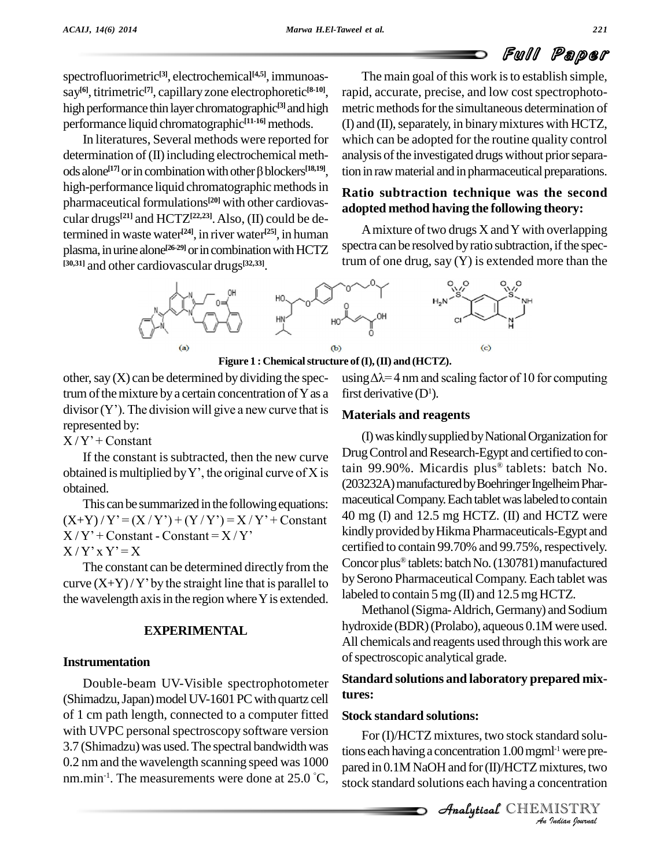spectrofluorimetric **[3]**, electrochemical **[4,5]**, immunoas say<sup>[6]</sup>, titrimetric<sup>[7]</sup>, capillary zone electrophoretic<sup>[8-10]</sup>, ra high performance thin layer chromatographic<sup>[3]</sup> and high metric performance liquid chromatographic **[11-16]** methods.

In literatures, Several methods were reported for white<br>rmination of (II) including electrochemical meth-<br>alone<sup>[17]</sup> or in combination with other  $\beta$  blockers<sup>[18,19]</sup>, tion determination of (II) including electrochemical methods alone<sup>[17]</sup> or in combination with other  $\beta$  blockers<sup>[18,19]</sup>, tic high-performance liquid chromatographic methods in pharmaceutical formulations<sup>[20]</sup> with other cardiovascular drugs **[21]** and HCTZ **[22,23]**.Also, (II) could be determined in waste water **[24]**, in river water **[25]**, in human plasma, in urine alone<sup>[26-29]</sup> or in combination with HCTZ Spectra ca **[30,31]** and other cardiovascular drugs **[32,33]**.

The main goal of this work is to establish simple, rapid, accurate, precise, and low cost spectrophoto metric methods for the simultaneous determination of  $(I)$  and  $(II)$ , separately, in binary mixtures with HCTZ, which can be adopted for the routine quality control analysis of the investigated drugs without prior separation in raw material and in pharmaceutical preparations.

# **Ratio subtraction technique was the second adopted method having the following theory:**

A mixture of two drugs  $X$  and  $Y$  with overlapping spectra can be resolved by ratio subtraction, if the spectrum of one drug, say (Y) is extended more than the



**Figure 1 : Chemicalstructure of(I),(II) and (HCTZ).**

other, say  $(X)$  can be determined by dividing the spectrum of the mixture by a certain concentration of  $Y$  as a other, say  $(X)$  can be determined by dividing the spec-<br>trum of the mixture by a certain concentration of Y as a first divisor  $(Y')$ . The division will give a new curve that is represented by: divisor  $(Y')$ . The division<br>represented by:<br> $X/Y' +$  Constant

If the constant is subtracted, then the new curve  $X/Y'$  + Constant<br>If the constant is subtracted, then the new curve<br>obtained is multiplied by Y', the original curve of X is obtained.

This can be summarized in the following equations: % obtained. (20)<br>This can be summarized in the following equations:  $\frac{m_1}{(X+Y)}/Y'=(X/Y')+(Y/Y')=X/Y'+Constant$ This can be summarized in the following equa<br>  $(X+Y)/Y' = (X/Y') + (Y/Y') = X/Y' + Con$ <br>  $X/Y' + Constant - Constant = X/Y'$  $(X+Y)/Y' = (X/Y') + (Y/Y)$ <br> $X/Y' + Constant - Constant$ <br> $X/Y' \times Y' = X$ 

The constant can be determined directly from the  $X/Y'X'Y' = X$ <br>The constant can be determined directly from the<br>curve  $(X+Y)/Y'$  by the straight line that is parallel to the wavelength axis in the region where Y is extended.

# **EXPERIMENTAL**

# **Instrumentation**

Double-beam UV-Visible spectrophotometer (Shimadzu, Japan) model UV-1601 PC with quartz cell of 1 cm path length, connected to a computer fitted with UVPC personal spectroscopy software version 3.7 (Shimadzu) was used. The spectral bandwidth was  $0.2$  nm and the wavelength scanning speed was  $1000$  nared in nm.min<sup>-1</sup>. The measurements were done at 25.0 °C,  $\frac{1}{100}$ 

(c)<br>re of (I), (II) and (HCTZ).<br>using  $\Delta \lambda = 4$  nm and scaling factor of 10 for computing first derivative  $(D^1)$ .

# **Materials and reagents**

(I)waskindlysuppliedbyNationalOrganizationfor Drug Control and Research-Egypt and certified to contain 99.90%. Micardis plus<sup>®</sup> tablets: batch No. (203232A) manufactured by Boehringer Ingelheim Pharmaceutical Company. Each tablet was labeled to contain 40 mg (I) and 12.5 mg HCTZ. (II) and HCTZ were kindly provided by Hikma Pharmaceuticals-Egypt and certified to contain 99.70% and 99.75%, respectively. Concor plus<sup>®</sup> tablets: batch No. (130781) manufactured by Serono Pharmaceutical Company. Each tablet was labeled to contain 5 mg (II) and 12.5 mg HCTZ.

Methanol(Sigma-Aldrich,Germany) and Sodium hydroxide (BDR)(Prolabo), aqueous 0.1M were used. All chemicals and reagents used through this work are of spectroscopic analytical grade.

# **Standard solutions and laboratory prepared mixtures:**

# **Stock standard solutions:**

For (I)/HCTZ mixtures, two stock standard solu-*Indard solu-<br>I<sup>1-1</sup> were pre-<br><i>ixtures, two*<br>ncentration<br>*IISTRY* tions each having a concentration 1.00 mgml<sup>-1</sup> were prepared in 0.1M NaOH and for (II)/HCTZ mixtures, two stock standard solutions each having a concentration

CHEMISTRY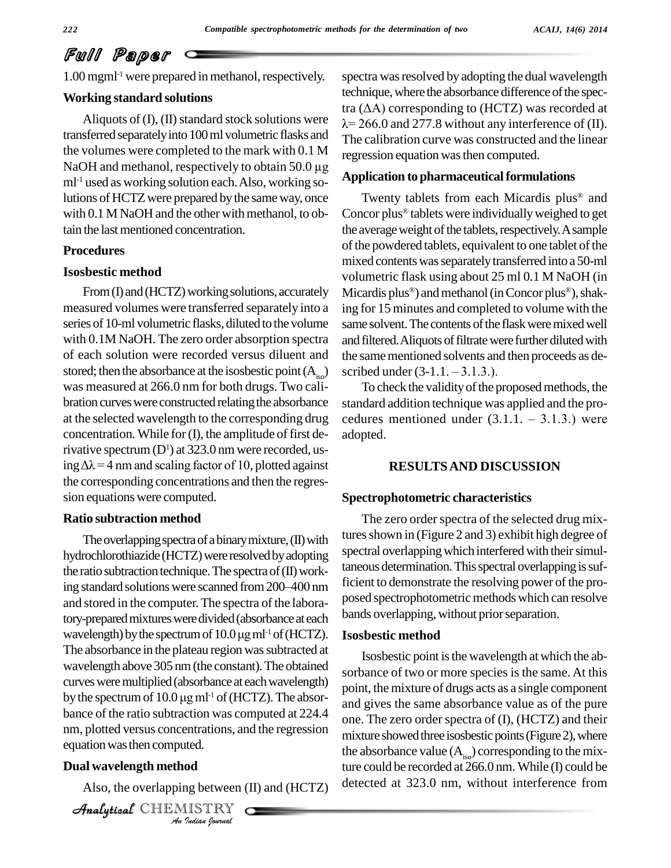1.00 mgml<sup>-1</sup> were prepared in methanol, respectively. sp

### **Working standard solutions**

transferred separately into 100 ml volumetric flasks and the volumes were completed to the mark with 0.1 M NaOH and methanol, respectively to obtain  $50.0 \mu g$  $ml<sup>-1</sup>$  used as working solution each. Also, working solutions of HCTZ were prepared by the same way, once with  $0.1$  M NaOH and the other with methanol, to obtain the last mentioned concentration.

# **Procedures**

### **Isosbestic method**

measured volumes were transferred separately into a series of 10-ml volumetric flasks, diluted to the volume with 0.1M NaOH. The zero order absorption spectra of each solution were recorded versus diluent and stored; then the absorbance at the isosbestic point  $(A<sub>iso</sub>)$  scribed under  $(3-1.1, -3.1.3)$ . was measured at 266.0 nm for both drugs. Two cali bration curves were constructed relating the absorbance at the selected wavelength to the corresponding drug cedures mentioned under  $(3.1.1 - 3.1.3)$  were concentration. While for (I), the amplitude of first de-<br>rivative spectrum (D<sup>1</sup>) at 323.0 nm were recorded, us-<br>ing  $\Delta\lambda = 4$  nm and scaling factor of 10, plotted against rivative spectrum  $(D<sup>1</sup>)$  at 323.0 nm were recorded, usthe corresponding concentrations and then the regres sion equations were computed.

## **Ratio subtraction method**

nm, plotted versus concentrations, and the regression mixture entrations, an<br>*I*ted.<br>**IISTRY**<br>*Indian Journal* The overlapping spectra of a binary mixture,  $(II)$  with hydrochlorothiazide (HCTZ) were resolved by adopting spectral over<br>the ratio subtraction technique. The spectra of (II) work-<br>ing standard solutions were scanned from 200–400 nm the ratio subtraction technique. The spectra of  $(II)$  workand stored in the computer. The spectra of the laboratory-prepared mixtures were divided (absorbance at each <sup>Dands G</sup> and stored in the computer. The spectra of the<br>tory-prepared mixtures were divided (absorbance<br>wavelength) by the spectrum of 10.0 µg ml<sup>-1</sup> of (I wavelength) by the spectrum of  $10.0 \,\mu g \,\text{ml}^{-1}$  of (HCTZ). The absorbance in the plateau region was subtracted at wavelength above 305 nm(the constant).The obtained curves were multiplied (absorbance at each wavelength) wavelength above 305 nm (the constant). The obtained<br>
curves were multiplied (absorbance at each wavelength) poin<br>
by the spectrum of  $10.0 \mu g$  ml<sup>-1</sup> of (HCTZ). The absorbance of the ratio subtraction was computed at 224.4 equation was then computed.

# **Dual wavelength method**

Also, the overlapping between (II) and (HCTZ)

CHEMISTRY

Aliquots of (I), (II) standard stock solutions were  $\lambda = 266.0$  and 277.8 without any interference of (II). spectra was resolved by adopting the dual wavelength technique, where the absorbance difference of the specspectra was resolved by adopting the dual wavelength<br>technique, where the absorbance difference of the spec-<br>tra  $(\Delta A)$  corresponding to  $(HCTZ)$  was recorded at mique, where the absorbance difference of the spec-<br>( $\Delta A$ ) corresponding to (HCTZ) was recorded at<br>266.0 and 277.8 without any interference of (II). The calibration curve was constructed and the linear regression equation was then computed.

#### **Application to pharmaceuticalformulations**

From (I) and (HCTZ) working solutions, accurately Micardis plus<sup>®</sup>) and methanol (in Concor plus<sup>®</sup>), shak-Twenty tablets from each Micardis plus<sup>®</sup> and Concor plus<sup>®</sup> tablets were individually weighed to get the average weight of the tablets, respectively. A sample of the powdered tablets, equivalent to one tablet of the mixed contents was separately transferred into a 50-ml volumetric flask using about 25 ml 0.1 M NaOH (in<br>Micardis plus®) and methanol (in Concor plus®), shaking for 15 minutes and completed to volume with the same solvent. The contents of the flask were mixed well and filtered. Aliquots of filtrate were further diluted with the same mentioned solvents and then proceeds as deand filtered. Aliquots of filtrate were fit<br>the same mentioned solvents and the<br>scribed under  $(3-1.1. -3.1.3.)$ .

> To check the validity of the proposed methods, the standard addition technique was applied and the pro- To check the validity of the proposed methods, the<br>standard addition technique was applied and the pro-<br>cedures mentioned under  $(3.1.1. - 3.1.3.)$  were adopted.

# **RESULTSAND DISCUSSION**

#### **Spectrophotometric characteristics**

The zero order spectra of the selected drug mixtures shown in (Figure 2 and 3) exhibit high degree of spectral overlapping which interfered with their simultaneous determination. This spectral overlapping is sufficient to demonstrate the resolving power of the pro posed spectrophotometric methods which can resolve bands overlapping, without prior separation.

# **Isosbestic method**

Isosbestic point is the wavelength at which the absorbance of two or more species is the same.At this point, the mixture of drugs acts as a single component and gives the same absorbance value as of the pure one. The zero order spectra of (I), (HCTZ) and their mixture showed three isosbestic points (Figure 2), where the absorbance value  $(A_{i\circ})$  corresponding to the mixture could be recorded at  $266.0$  nm. While (I) could be detected at 323.0 nm, without interference from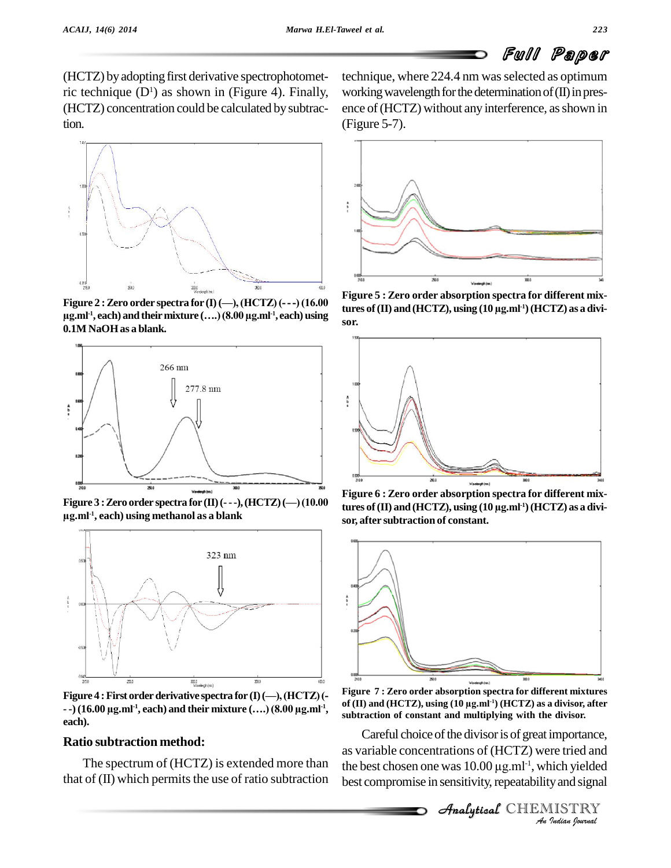(HCTZ) by adopting first derivative spectrophotometric technique  $(D<sup>1</sup>)$  as shown in (Figure 4). Finally, (HCTZ) concentration could be calculated bysubtraction.



 $\cdot$ <sup>1</sup>, each) and their mixture  $(...)$  (8.00  $\mu$ g.ml<sup>-1</sup>, each) using **r 2** : Zero order spectra for (I) (--), (HCTZ) (--<br>, each) and their mixture (....) (8.00  $\mu$ g.ml<sup>-1</sup>, eac **0.1M NaOHas a blank.**



**Figure**  $3:$  **Zero** order **spectra** for  $(II)(-$ ..., $(HCTZ)(-) (10.00)$ **-1 , each) using methanol as a blank**



Figure 4 : First order derivative spectra for  $(I)$  (---), (HCTZ) (--<br>--) (16.00  $\mu$ g.ml<sup>-1</sup>, each) and their mixture (....) (8.00  $\mu$ g.ml<sup>-1</sup>, **each).**

# **Ratio subtraction method:**

The spectrum of (HCTZ) is extended more than that of  $(II)$  which permits the use of ratio subtraction

technique, where 224.4 nm was selected as optimum working wavelength for the determination of  $(II)$  in presence of (HCTZ) without any interference, as shown in (Figure 5-7).



**Figure 5 : Zero order absorption spectra for different mixthe conduct of the conduct of the conduct of the conduct of the conduct of the conduct of the conduct of the conduct of the conduct of the conduct of the conduct of the conduct of the conduct of the conduct of the conduct**  $\tanctan(10 \text{ m})$  and  $\tanctan(10 \text{ m})$ ,  $\tanctan(10 \text{ m})$   $\tanctan(10 \text{ m})$   $\tanctan(10 \text{ m})$  as a divi**sor.**



**Figure 6 : Zero order absorption spectra for different mixthe conduct of the conduct of the conduct of the conduct of the conduct of the conduct of the conduct of the conduct of the conduct of the conduct of the conduct of the conduct of the conduct of the conduct of the conduct -1)(HCTZ) as a divi sor, after subtraction of constant.**



**, of (II) and (HCTZ), using (10 µg.ml -1) (HCTZ) as a divisor, after Figure 7 : Zero order absorption spectra for different mixtures subtraction of constant and multiplying with the divisor.**

Careful choice of the divisor is of great importance, *Importance,*<br>*Inch yielded*<br>*IISTRY*<br>*IISTRY* as variable concentrations of (HCTZ) were tried and Careful choice of the divisor is of great importance,<br>as variable concentrations of (HCTZ) were tried and<br>the best chosen one was  $10.00 \mu g.ml^{-1}$ , which yielded best compromise in sensitivity, repeatability and signal

 $\mathscr{A}$ nalytical  $\mathbb{CHEMISTRY}$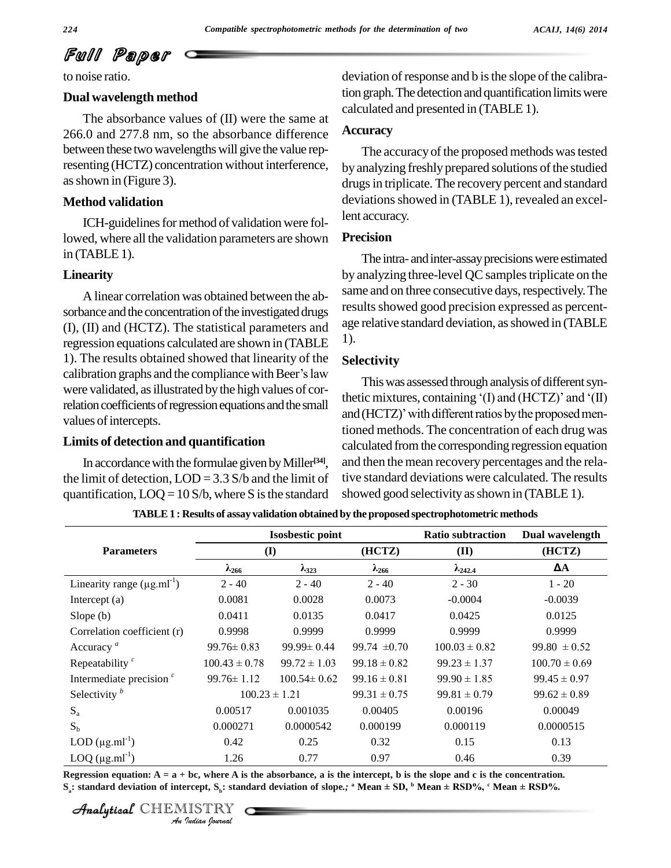to noise ratio.

#### **Dual wavelength method**

The absorbance values of (II) were the same at 266.0 and 277.8 nm, so the absorbance difference between these two wavelengths will give the value representing (HCTZ) concentration without interference, asshown in (Figure 3).

# **Method validation**

ICH-guidelines for method of validation were followed, where all the validation parameters are shown  $in$  (TABLE 1).

#### **Linearity**

A linear correlation was obtained between the ab sorbance and the concentration of the investigated drugs (I), (II) and (HCTZ). The statistical parameters and regression equations calculated are shown in (TABLE <sup>1).</sup><br>1). The results obtained showed that linearity of the **Selectivity**<br>calibration graphs and the compliance with Beer's law 1). The results obtained showed that linearity of the were validated, as illustrated by the high values of correlation coefficients of regression equations and the small<br>and (HCTZ)' with different ratios by the proposed menvalues of intercepts.

#### **Limits of detection and quantification**

In accordance with the formulae given by Miller<sup>[34]</sup>, an the limit of detection,  $LOD = 3.3$  S/b and the limit of quantification,  $LOQ = 10 S/b$ , where S is the standard

deviation of response and b is the slope of the calibration graph. The detection and quantification limits were calculated and presented in (TABLE 1).

#### **Accuracy**

The accuracy of the proposed methods was tested by analyzing freshly prepared solutions of the studied drugs in triplicate. The recovery percent and standard deviations showed in (TABLE 1), revealed an excellent accuracy.

# **Precision**

The intra- and inter-assay precisions were estimated by analyzing three-level QC samples triplicate on the same and on three consecutive days, respectively. The results showed good precision expressed as percentage relative standard deviation, as showed in (TABLE 1).

# **Selectivity**

This was assessed through analysis of different syn-Selectivity<br>This was assessed through analysis of different syn-<br>thetic mixtures, containing '(I) and (HCTZ)' and '(II) This was assessed through analysis of different syn-<br>thetic mixtures, containing '(I) and (HCTZ)' and '(II)<br>and (HCTZ)' with different ratios by the proposed mentioned methods. The concentration of each drug was calculated fromthe corresponding regression equation and then the mean recovery percentages and the relative standard deviations were calculated. The results showed good selectivity as shown in (TABLE 1).

**TABLE1 : Results of assay validation obtained by theproposed spectrophotometric methods**

|                                   |                                    | <b>Isosbestic point</b> | <b>Ratio subtraction</b> | Dual wavelength<br>(HCTZ)<br>ΔA |                   |                   |
|-----------------------------------|------------------------------------|-------------------------|--------------------------|---------------------------------|-------------------|-------------------|
| <b>Parameters</b>                 | (I)                                |                         | (HCTZ)                   |                                 |                   | (II)              |
|                                   | $\lambda_{323}$<br>$\lambda_{266}$ |                         | $\lambda_{266}$          |                                 |                   | $\lambda_{242.4}$ |
| Linearity range $(\mu g.ml^{-1})$ | $2 - 40$                           | $2 - 40$                | $2 - 40$                 | $2 - 30$                        | $1 - 20$          |                   |
| Intercept (a)                     | 0.0081                             | 0.0028                  | 0.0073                   | $-0.0004$                       | $-0.0039$         |                   |
| Slope $(b)$                       | 0.0411                             | 0.0135                  | 0.0417                   | 0.0425                          | 0.0125            |                   |
| Correlation coefficient (r)       | 0.9998                             | 0.9999                  | 0.9999                   | 0.9999                          | 0.9999            |                   |
| Accuracy <sup><i>a</i></sup>      | $99.76 \pm 0.83$                   | $99.99 \pm 0.44$        | 99.74 $\pm 0.70$         | $100.03 \pm 0.82$               | $99.80 \pm 0.52$  |                   |
| Repeatability $\frac{c}{c}$       | $100.43 \pm 0.78$                  | $99.72 \pm 1.03$        | $99.18 \pm 0.82$         | $99.23 \pm 1.37$                | $100.70 \pm 0.69$ |                   |
| Intermediate precision $\epsilon$ | $99.76 \pm 1.12$                   | $100.54 \pm 0.62$       | $99.16 \pm 0.81$         | $99.90 \pm 1.85$                | $99.45 \pm 0.97$  |                   |
| Selectivity $\frac{b}{c}$         | $100.23 \pm 1.21$                  |                         | $99.31 \pm 0.75$         | $99.81 \pm 0.79$                | $99.62 \pm 0.89$  |                   |
| $S_{a}$                           | 0.00517                            | 0.001035                | 0.00405                  | 0.00196                         | 0.00049           |                   |
| $S_h$                             | 0.000271                           | 0.0000542               | 0.000199                 | 0.000119                        | 0.0000515         |                   |
| $LOD (µg.ml-1)$                   | 0.42                               | 0.25                    | 0.32                     | 0.15                            | 0.13              |                   |
| LOQ $(\mu g.ml^{-1})$             | 1.26                               | 0.77                    | 0.97                     | 0.46                            | 0.39              |                   |

CHEMISTRY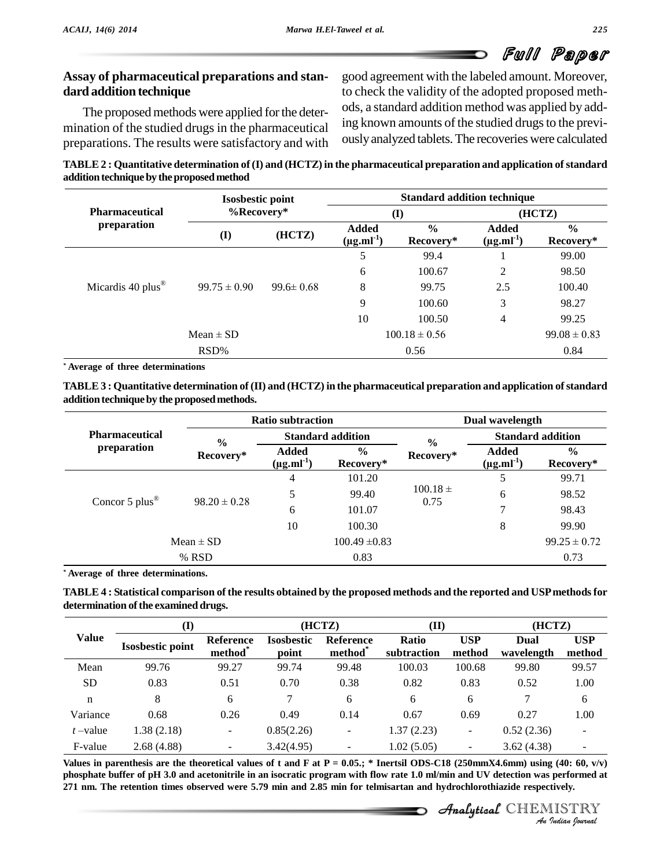# **Assay of pharmaceutical preparations and stan dard addition technique**

The proposed methods were applied for the determination of the studied drugs in the pharmaceutical preparations. The results were satisfactory and with good agreement with the labeled amount. Moreover, to check the validity of the adopted proposed meth ods, a standard addition method was applied by adding known amounts of the studied drugs to the previouslyanalyzed tablets.The recoveries were calculated

**TABLE2 : Quantitative determination of(I) and (HCTZ) in the pharmaceutical preparation and application ofstandard addition techniqueby theproposedmethod**

|                                      | <b>Isosbestic point</b><br>$%$ Recovery* |                 | <b>Standard addition technique</b> |                            |                            |                            |  |
|--------------------------------------|------------------------------------------|-----------------|------------------------------------|----------------------------|----------------------------|----------------------------|--|
| <b>Pharmaceutical</b><br>preparation |                                          |                 | $\bf(I)$                           |                            | (HCTZ)                     |                            |  |
|                                      | $\mathbf{I}$                             | (HCTZ)          | Added<br>$(\mu g.ml^{-1})$         | $\frac{6}{9}$<br>Recovery* | Added<br>$(\mu g.mI^{-1})$ | $\frac{6}{9}$<br>Recovery* |  |
|                                      |                                          |                 | 5                                  | 99.4                       |                            | 99.00                      |  |
|                                      | $99.75 \pm 0.90$                         | $99.6 \pm 0.68$ | 6                                  | 100.67                     | 2                          | 98.50                      |  |
| Micardis 40 plus $^{\circledR}$      |                                          |                 | 8                                  | 99.75                      | 2.5                        | 100.40                     |  |
|                                      |                                          |                 | 9                                  | 100.60                     | 3                          | 98.27                      |  |
|                                      |                                          |                 | 10                                 | 100.50                     | $\overline{4}$             | 99.25                      |  |
| $Mean \pm SD$                        |                                          |                 | $100.18 \pm 0.56$                  |                            |                            | $99.08 \pm 0.83$           |  |
| RSD%                                 |                                          |                 |                                    | 0.56                       |                            | 0.84                       |  |

*\** **Average of three determinations**

**TABLE3 : Quantitative determination of (II) and (HCTZ) in the pharmaceutical preparation and application ofstandard addition technique by the proposed methods.** 

|                                      |                  | <b>Ratio subtraction</b>          |                            |                      | Dual wavelength                   |                            |  |  |
|--------------------------------------|------------------|-----------------------------------|----------------------------|----------------------|-----------------------------------|----------------------------|--|--|
| <b>Pharmaceutical</b><br>preparation | $\frac{6}{6}$    | <b>Standard addition</b>          |                            | $\frac{0}{0}$        | <b>Standard addition</b>          |                            |  |  |
|                                      | Recovery*        | <b>Added</b><br>$(\mu g.ml^{-1})$ | $\frac{6}{9}$<br>Recovery* | Recovery*            | <b>Added</b><br>$(\mu g.ml^{-1})$ | $\frac{6}{9}$<br>Recovery* |  |  |
| Concor 5 plus $^{\circledR}$         |                  | $\overline{4}$                    | 101.20                     |                      |                                   | 99.71                      |  |  |
|                                      |                  | 5                                 | 99.40                      | $100.18 \pm$<br>0.75 | 6                                 | 98.52                      |  |  |
|                                      | $98.20 \pm 0.28$ | 6                                 | 101.07                     |                      | 7                                 | 98.43                      |  |  |
|                                      |                  | 10                                | 100.30                     |                      | 8                                 | 99.90                      |  |  |
|                                      | $Mean \pm SD$    |                                   | $100.49 \pm 0.83$          |                      |                                   | $99.25 \pm 0.72$           |  |  |
|                                      | % RSD            |                                   | 0.83                       |                      |                                   | 0.73                       |  |  |

*\** **Average of three determinations.**

| TABLE 4 : Statistical comparison of the results obtained by the proposed methods and the reported and USP methods for |  |
|-----------------------------------------------------------------------------------------------------------------------|--|
| determination of the examined drugs.                                                                                  |  |

|             | (I)                     |                                  | (HCTZ)                     |                                         | (II)                 |                          | (HCTZ)             |                          |
|-------------|-------------------------|----------------------------------|----------------------------|-----------------------------------------|----------------------|--------------------------|--------------------|--------------------------|
| Value       | <b>Isosbestic point</b> | Reference<br>method <sup>*</sup> | <b>Isosbestic</b><br>point | <b>Reference</b><br>method <sup>*</sup> | Ratio<br>subtraction | <b>USP</b><br>method     | Dual<br>wavelength | <b>USP</b><br>method     |
| Mean        | 99.76                   | 99.27                            | 99.74                      | 99.48                                   | 100.03               | 100.68                   | 99.80              | 99.57                    |
| <b>SD</b>   | 0.83                    | 0.51                             | 0.70                       | 0.38                                    | 0.82                 | 0.83                     | 0.52               | 1.00                     |
| $\mathbf n$ | 8                       | 6                                |                            | 6                                       | 6                    | 6                        |                    | 6                        |
| Variance    | 0.68                    | 0.26                             | 0.49                       | 0.14                                    | 0.67                 | 0.69                     | 0.27               | 1.00                     |
| $t$ –value  | 1.38(2.18)              | -                                | 0.85(2.26)                 | $\overline{\phantom{a}}$                | 1.37(2.23)           | -                        | 0.52(2.36)         | $\overline{\phantom{0}}$ |
| F-value     | 2.68(4.88)              | $\sim$                           | 3.42(4.95)                 | $\overline{\phantom{a}}$                | 1.02(5.05)           | $\overline{\phantom{a}}$ | 3.62(4.38)         |                          |

*I*<br> *I*<br> *I*<br> *I*<br> *IISTRY*<br> *IISTRY*<br> *IISTRY*<br> *Indian Iournal* Values in parenthesis are the theoretical values of t and F at P = 0.05.; \* Inertsil ODS-C18 (250mmX4.6mm) using (40: 60, v/v) phosphate buffer of pH 3.0 and acetonitrile in an isocratic program with flow rate 1.0 ml/min and UV detection was performed at 271 nm. The retention times observed were 5.79 min and 2.85 min for telmisartan and hydrochlorothiazide respectively.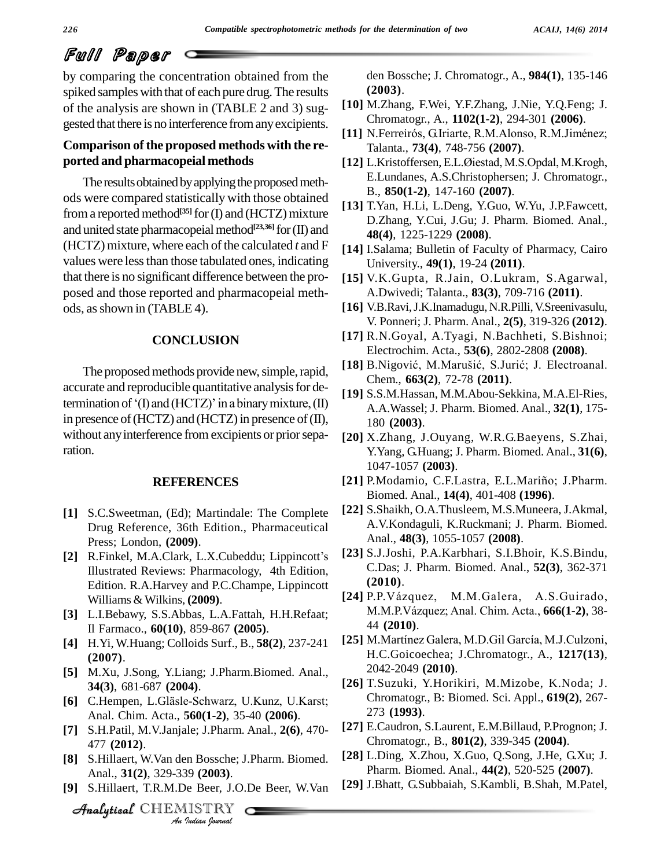by comparing the concentration obtained from the spiked samples with that of each pure drug. The results of the analysis are shown in (TABLE 2 and 3) sug gested that there is no interference from any excipients.<br>[11] N.Ferreirós, G.Iriarte, R.M.Alonso, R.M.Jiménez;

# **Comparison ofthe proposed methods with the re ported and pharmacopeial methods**

The results obtained by applying the proposed methods were compared statistically with those obtained from a reported method<sup>[35]</sup> for (I) and (HCTZ) mixture and united state pharmacopeial method<sup>[23,36]</sup> for (II) and (HCTZ) mixture, where each of the calculated  $t$  and  $F$ values were less than those tabulated ones, indicating that there is no significant difference between the pro posed and those reported and pharmacopeial meth ods, as shown in (TABLE 4).

# **CONCLUSION**

accurate and reproducible quantitative analysis for determination of  $f($ ] and (HCTZ)' in a binary mixture, (II) in presence of (HCTZ) and (HCTZ) in presence of  $(II)$ , without any interference from excipients or prior separation.

#### **REFERENCES**

- **[1]** S.C.Sweetman, (Ed); Martindale: The Complete Drug Reference, 36th Edition., Pharmaceutical Press; London, **(2009)**.
- [2] R.Finkel, M.A.Clark, L.X.Cubeddu; Lippincott's Illustrated Reviews: Pharmacology, 4th Edition, Edition. R.A.Harvey and P.C.Champe, Lippincott Williams & Wilkins, **(2009)**.
- **[3]** L.I.Bebawy, S.S.Abbas, L.A.Fattah, H.H.Refaat; Il Farmaco., **60(10)**, 859-867 **(2005)**.
- **[4]** H.Yi, W.Huang; Colloids Surf., B., **58(2)**, 237-241 **(2007)**.
- **[5]** M.Xu, J.Song, Y.Liang; J.Pharm.Biomed. Anal., **[6]** C.Hempen, L.Gl‰sle-Schwarz, U.Kunz, U.Karst; **34(3)**, 681-687 **(2004)**.
- Anal. Chim. Acta., **560(1-2)**, 35-40 **(2006)**.
- *A*<sub>A</sub><sup>1</sup> S.H.Patil, M.V.Janjale; J.Pharm. Anal., **2(6)**, 470-*I.Pharm.*<br>*In Bossche*; *J.*<br>39 (**2003**).<br>Je Beer, J.O..<br>IISTRY 477 **(2012)**.
- **[8]** S.Hillaert, W.Van den Bossche; J.Pharm. Biomed. Anal., **31(2)**, 329-339 **(2003)**.
- **[9]** S.Hillaert, T.R.M.De Beer, J.O.De Beer, W.Van

den Bossche; J. Chromatogr., A., **984(1)**, 135-146 **(2003)**.

- [10] M.Zhang, F.Wei, Y.F.Zhang, J.Nie, Y.Q.Feng; J.<br>
Chromatogr., A., 1102(1-2), 294-301 (2006).<br>[11] N.Ferreirós, G.Iriarte, R.M.Alonso, R.M.Jiménez; Chromatogr., A., **1102(1-2)**, 294-301 **(2006)**.
- Talanta., **73(4)**, 748-756 **(2007)**.
- **[12]** L.Kristoffersen,E.L.ÿiestad, M.S.Opdal, M.Krogh, E.Lundanes, A.S.Christophersen; J. Chromatogr., B., **850(1-2)**, 147-160 **(2007)**.
- **[13]** T.Yan, H.Li, L.Deng, Y.Guo, W.Yu, J.P.Fawcett, D.Zhang, Y.Cui, J.Gu; J. Pharm. Biomed. Anal., **48(4)**, 1225-1229 **(2008)**.
- **[14]** I.Salama; Bulletin of Faculty of Pharmacy, Cairo University., **49(1)**, 19-24 **(2011)**.
- **[15]** V.K.Gupta, R.Jain, O.Lukram, S.Agarwal, A.Dwivedi; Talanta., **83(3)**, 709-716 **(2011)**.
- **[16]** V.B.Ravi,J.K.Inamadugu, N.R.Pilli,V.Sreenivasulu, V. Ponneri; J. Pharm. Anal., **2(5)**, 319-326 **(2012)**.
- [17] R.N.Goyal, A.Tyagi, N.Bachheti, S.Bishnoi;<br>Electrochim. Acta., **53(6**), 2802-2808 (**2008**).<br>[18] B.Nigović, M.Marušić, S.Jurić; J. Electroanal. Electrochim. Acta., **53(6)**, 2802-2808 **(2008)**.
- The proposed methods provide new, simple, rapid, [18] B. Nigović, M. Marušić, S. Jurić; J. Electroanal. Chem., **663(2)**, 72-78 **(2011)**.
	- **[19]** S.S.M.Hassan, M.M.Abou-Sekkina, M.A.El-Ries, A.A.Wassel; J. Pharm. Biomed. Anal., **32(1)**, 175- 180 **(2003)**.
	- **[20]** X.Zhang, J.Ouyang, W.R.G.Baeyens, S.Zhai, Y.Yang, G.Huang; J. Pharm. Biomed. Anal., **31(6)**, 1047-1057 **(2003)**.
	- [21] P.Modamio, C.F.Lastra, E.L.Mariño; J.Pharm. Biomed. Anal., **14(4)**, 401-408 **(1996)**.
	- **[22]** S.Shaikh, O.A.Thusleem, M.S.Muneera, J.Akmal, A.V.Kondaguli, K.Ruckmani; J. Pharm. Biomed. Anal., **48(3)**, 1055-1057 **(2008)**.
	- **[23]** S.J.Joshi, P.A.Karbhari, S.I.Bhoir, K.S.Bindu, C.Das; J. Pharm. Biomed. Anal., **52(3)**, 362-371 **(2010)**. **C.Das; J. Pharm. Biomed. Anal., 52(3), 362-371 (2010).**<br> **[24]** P.P.Vázquez, M.M.Galera, A.S.Guirado,
	- (**2010**).<br>P.P.Vázquez, M.M.Galera, A.S.Guirado,<br>M.M.P.Vázquez; Anal. Chim. Acta., **666(1-2)**, 38-44 **(2010)**. 1.M.P.Vázquez; Anal. Chim. Acta., **666(1-2)**, 38-<br>44 (2**010)**.<br>**[25]** M.Martínez Galera, M.D.Gil García, M.J.Culzoni,
	- H.C.Goicoechea; J.Chromatogr., A., **1217(13)**, 2042-2049 **(2010)**.
	- **[26]** T.Suzuki, Y.Horikiri, M.Mizobe, K.Noda; J. Chromatogr., B: Biomed. Sci. Appl., **619(2)**, 267- 273 **(1993)**.
	- **[27]** E.Caudron, S.Laurent, E.M.Billaud, P.Prognon; J. Chromatogr., B., **801(2)**, 339-345 **(2004)**.
	- **[28]** L.Ding, X.Zhou, X.Guo, Q.Song, J.He, G.Xu; J. Pharm. Biomed. Anal., **44(2)**, 520-525 **(2007)**.
	- **[29]** J.Bhatt, G.Subbaiah, S.Kambli, B.Shah, M.Patel,

CHEMISTRY